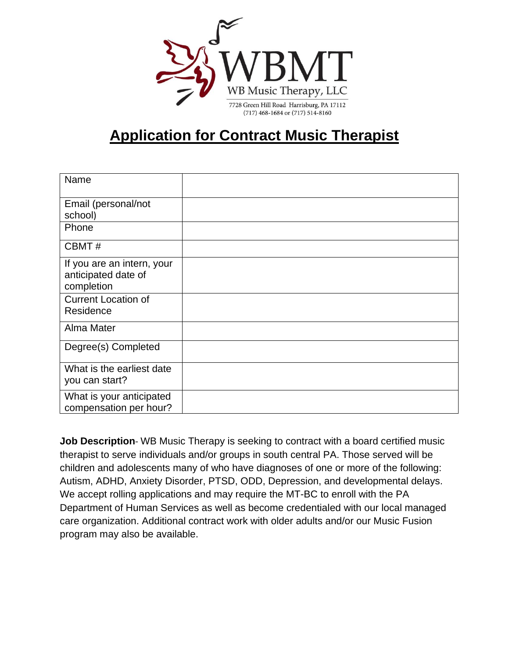

## **Application for Contract Music Therapist**

| Name                                                            |  |
|-----------------------------------------------------------------|--|
| Email (personal/not<br>school)                                  |  |
| Phone                                                           |  |
| CBMT#                                                           |  |
| If you are an intern, your<br>anticipated date of<br>completion |  |
| <b>Current Location of</b><br>Residence                         |  |
| Alma Mater                                                      |  |
| Degree(s) Completed                                             |  |
| What is the earliest date<br>you can start?                     |  |
| What is your anticipated<br>compensation per hour?              |  |

**Job Description**- WB Music Therapy is seeking to contract with a board certified music therapist to serve individuals and/or groups in south central PA. Those served will be children and adolescents many of who have diagnoses of one or more of the following: Autism, ADHD, Anxiety Disorder, PTSD, ODD, Depression, and developmental delays. We accept rolling applications and may require the MT-BC to enroll with the PA Department of Human Services as well as become credentialed with our local managed care organization. Additional contract work with older adults and/or our Music Fusion program may also be available.